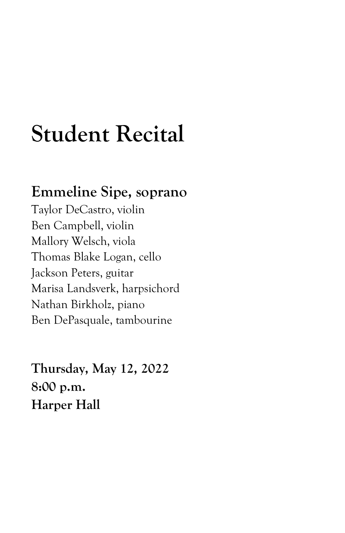## **Student Recital**

## **Emmeline Sipe, soprano**

Taylor DeCastro, violin Ben Campbell, violin Mallory Welsch, viola Thomas Blake Logan, cello Jackson Peters, guitar Marisa Landsverk, harpsichord Nathan Birkholz, piano Ben DePasquale, tambourine

**Thursday, May 12, 2022 8:00 p.m. Harper Hall**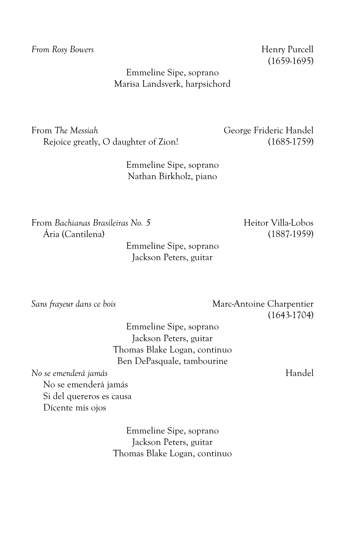**From Rosy Bowers Henry Purcell** 

(1659-1695)

Emmeline Sipe, soprano Marisa Landsverk, harpsichord

From *The Messiah* George Frideric Handel Rejoice greatly, O daughter of Zion! (1685-1759)

Emmeline Sipe, soprano Nathan Birkholz, piano

From *Bachianas Brasileiras No. 5* Heitor Villa-Lobos Ária (Cantilena) (1887-1959)

Emmeline Sipe, soprano Jackson Peters, guitar

*Sans frayeur dans ce bois* Marc-Antoine Charpentier (1643-1704)

Emmeline Sipe, soprano Jackson Peters, guitar Thomas Blake Logan, continuo Ben DePasquale, tambourine

*No se emenderá jamás* Handel No se emenderá jamás Si del quereros es causa Dícente mis ojos

> Emmeline Sipe, soprano Jackson Peters, guitar Thomas Blake Logan, continuo